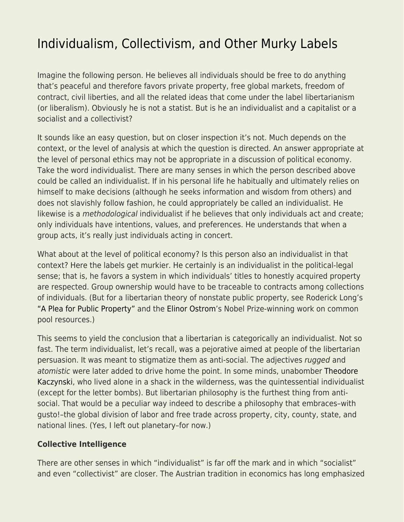## [Individualism, Collectivism, and Other Murky Labels](https://everything-voluntary.com/individualism-collectivism-and-other-murky-labels)

Imagine the following person. He believes all individuals should be free to do anything that's peaceful and therefore favors private property, free global markets, freedom of contract, civil liberties, and all the related ideas that come under the label libertarianism (or liberalism). Obviously he is not a statist. But is he an individualist and a capitalist or a socialist and a collectivist?

It sounds like an easy question, but on closer inspection it's not. Much depends on the context, or the level of analysis at which the question is directed. An answer appropriate at the level of personal ethics may not be appropriate in a discussion of political economy. Take the word individualist. There are many senses in which the person described above could be called an individualist. If in his personal life he habitually and ultimately relies on himself to make decisions (although he seeks information and wisdom from others) and does not slavishly follow fashion, he could appropriately be called an individualist. He likewise is a methodological individualist if he believes that only individuals act and create; only individuals have intentions, values, and preferences. He understands that when a group acts, it's really just individuals acting in concert.

What about at the level of political economy? Is this person also an individualist in that context? Here the labels get murkier. He certainly is an individualist in the political-legal sense; that is, he favors a system in which individuals' titles to honestly acquired property are respected. Group ownership would have to be traceable to contracts among collections of individuals. (But for a libertarian theory of nonstate public property, see Roderick Long's ["A Plea for Public Property"](http://web.archive.org/web/20121104132831/http://www.freenation.org/a/f53l1.html) and the [Elinor Ostrom](http://web.archive.org/web/20121104132831/http://www.thefreemanonline.org/features/why-those-who-value-liberty-should-rejoice-elinor-ostroms-nobel-prize/)'s Nobel Prize-winning work on common pool resources.)

This seems to yield the conclusion that a libertarian is categorically an individualist. Not so fast. The term individualist, let's recall, was a pejorative aimed at people of the libertarian persuasion. It was meant to stigmatize them as anti-social. The adjectives rugged and atomistic were later added to drive home the point. In some minds, unabomber [Theodore](http://web.archive.org/web/20121104132831/http://en.wikipedia.org/wiki/Theodore_Kaczynski) [Kaczynski](http://web.archive.org/web/20121104132831/http://en.wikipedia.org/wiki/Theodore_Kaczynski), who lived alone in a shack in the wilderness, was the quintessential individualist (except for the letter bombs). But libertarian philosophy is the furthest thing from antisocial. That would be a peculiar way indeed to describe a philosophy that embraces–with gusto!–the global division of labor and free trade across property, city, county, state, and national lines. (Yes, I left out planetary–for now.)

## **Collective Intelligence**

There are other senses in which "individualist" is far off the mark and in which "socialist" and even "collectivist" are closer. The Austrian tradition in economics has long emphasized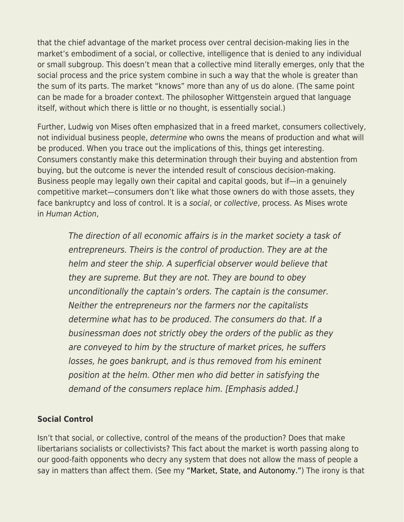that the chief advantage of the market process over central decision-making lies in the market's embodiment of a social, or collective, intelligence that is denied to any individual or small subgroup. This doesn't mean that a collective mind literally emerges, only that the social process and the price system combine in such a way that the whole is greater than the sum of its parts. The market "knows" more than any of us do alone. (The same point can be made for a broader context. The philosopher Wittgenstein argued that language itself, without which there is little or no thought, is essentially social.)

Further, Ludwig von Mises often emphasized that in a freed market, consumers collectively, not individual business people, determine who owns the means of production and what will be produced. When you trace out the implications of this, things get interesting. Consumers constantly make this determination through their buying and abstention from buying, but the outcome is never the intended result of conscious decision-making. Business people may legally own their capital and capital goods, but if—in a genuinely competitive market—consumers don't like what those owners do with those assets, they face bankruptcy and loss of control. It is a social, or collective, process. As Mises wrote in Human Action,

The direction of all economic affairs is in the market society a task of entrepreneurs. Theirs is the control of production. They are at the helm and steer the ship. A superficial observer would believe that they are supreme. But they are not. They are bound to obey unconditionally the captain's orders. The captain is the consumer. Neither the entrepreneurs nor the farmers nor the capitalists determine what has to be produced. The consumers do that. If a businessman does not strictly obey the orders of the public as they are conveyed to him by the structure of market prices, he suffers losses, he goes bankrupt, and is thus removed from his eminent position at the helm. Other men who did better in satisfying the demand of the consumers replace him. [Emphasis added.]

## **Social Control**

Isn't that social, or collective, control of the means of the production? Does that make libertarians socialists or collectivists? This fact about the market is worth passing along to our good-faith opponents who decry any system that does not allow the mass of people a say in matters than affect them. (See my ["Market, State, and Autonomy."\)](http://web.archive.org/web/20121104132831/http://www.thefreemanonline.org/columns/tgif/market-state-and-autonomy/) The irony is that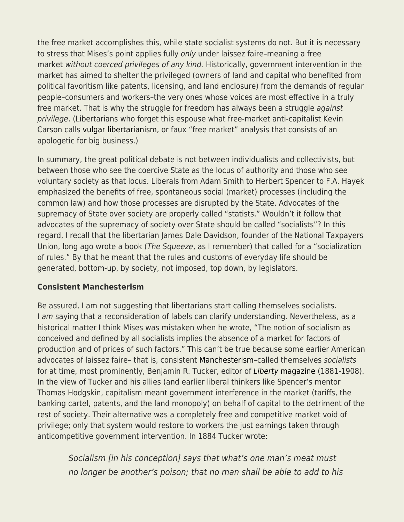the free market accomplishes this, while state socialist systems do not. But it is necessary to stress that Mises's point applies fully only under laissez faire–meaning a free market without coerced privileges of any kind. Historically, government intervention in the market has aimed to shelter the privileged (owners of land and capital who benefited from political favoritism like patents, licensing, and land enclosure) from the demands of regular people–consumers and workers–the very ones whose voices are most effective in a truly free market. That is why the struggle for freedom has always been a struggle against privilege. (Libertarians who forget this espouse what free-market anti-capitalist Kevin Carson calls [vulgar libertarianism,](http://web.archive.org/web/20121104132831/http://mutualist.blogspot.com/2005/01/vulgar-libertarianism-watch-part-1.html) or faux "free market" analysis that consists of an apologetic for big business.)

In summary, the great political debate is not between individualists and collectivists, but between those who see the coercive State as the locus of authority and those who see voluntary society as that locus. Liberals from Adam Smith to Herbert Spencer to F.A. Hayek emphasized the benefits of free, spontaneous social (market) processes (including the common law) and how those processes are disrupted by the State. Advocates of the supremacy of State over society are properly called "statists." Wouldn't it follow that advocates of the supremacy of society over State should be called "socialists"? In this regard, I recall that the libertarian James Dale Davidson, founder of the National Taxpayers Union, long ago wrote a book (The Squeeze, as I remember) that called for a "socialization of rules." By that he meant that the rules and customs of everyday life should be generated, bottom-up, by society, not imposed, top down, by legislators.

## **Consistent Manchesterism**

Be assured, I am not suggesting that libertarians start calling themselves socialists. I am saying that a reconsideration of labels can clarify understanding. Nevertheless, as a historical matter I think Mises was mistaken when he wrote, "The notion of socialism as conceived and defined by all socialists implies the absence of a market for factors of production and of prices of such factors." This can't be true because some earlier American advocates of laissez faire– that is, consistent [Manchesterism–](http://web.archive.org/web/20121104132831/http://en.wikipedia.org/wiki/Manchester_capitalism)called themselves socialists for at time, most prominently, Benjamin R. Tucker, editor of [Liberty](http://web.archive.org/web/20121104132831/http://en.wikipedia.org/wiki/Liberty_(1881-1908)) [magazine](http://web.archive.org/web/20121104132831/http://en.wikipedia.org/wiki/Liberty_(1881-1908)) (1881-1908). In the view of Tucker and his allies (and earlier liberal thinkers like Spencer's mentor Thomas Hodgskin, capitalism meant government interference in the market (tariffs, the banking cartel, patents, and the land monopoly) on behalf of capital to the detriment of the rest of society. Their alternative was a completely free and competitive market void of privilege; only that system would restore to workers the just earnings taken through anticompetitive government intervention. In 1884 Tucker wrote:

Socialism [in his conception] says that what's one man's meat must no longer be another's poison; that no man shall be able to add to his